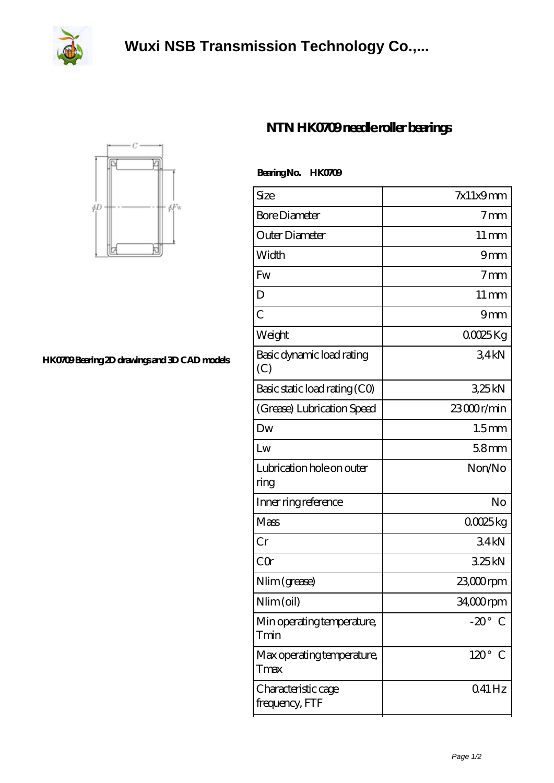

## **[Wuxi NSB Transmission Technology Co.,...](https://herbal-circle.com)**

**Bearing No. HTM0709** 



**[HK0709 Bearing 2D drawings and 3D CAD models](https://herbal-circle.com/pic-371611.html)**

## **[NTN HK0709 needle roller bearings](https://herbal-circle.com/ntn-hk0709-bearing/)**

| <b>Dealigna</b> HAUAD                 |                    |
|---------------------------------------|--------------------|
| Size                                  | $7x11x9$ mm        |
| <b>Bore Diameter</b>                  | 7 <sub>mm</sub>    |
| Outer Diameter                        | $11 \,\mathrm{mm}$ |
| Width                                 | 9mm                |
| Fw                                    | 7 <sub>mm</sub>    |
| D                                     | $11 \,\mathrm{mm}$ |
| C                                     | 9mm                |
| Weight                                | 00025Kg            |
| Basic dynamic load rating<br>(C)      | 34kN               |
| Basic static load rating (CO)         | 325kN              |
| (Grease) Lubrication Speed            | 23000r/min         |
| Dw                                    | 1.5 <sub>mm</sub>  |
| Lw                                    | 58mm               |
| Lubrication hole on outer<br>ring     | Non/No             |
| Inner ring reference                  | No                 |
| Mass                                  | 00025kg            |
| Cr                                    | 34kN               |
| CQr                                   | 325kN              |
| Nlim (grease)                         | 23,000 rpm         |
| Nlim (oil)                            | 34,000rpm          |
| Min operating temperature,<br>Tmin    | $-20^\circ$ C      |
| Max operating temperature,<br>Tmax    | $120^\circ$ C      |
| Characteristic cage<br>frequency, FTF | 041 Hz             |